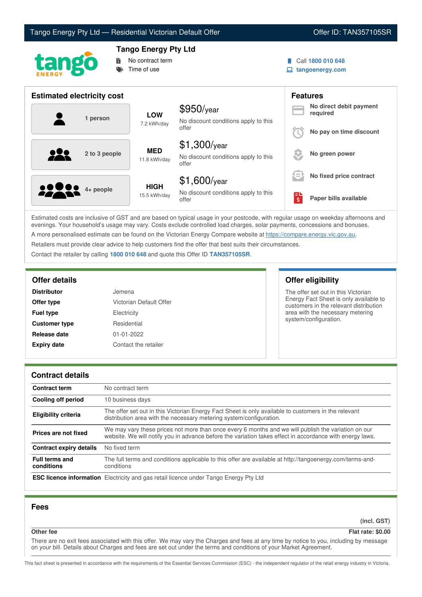



# **Tango Energy Pty Ltd**

No contract term Time of use

Call **1800 010 648**

**tangoenergy.com**

| <b>Estimated electricity cost</b> |                             |                                                                 |                     | <b>Features</b>                     |
|-----------------------------------|-----------------------------|-----------------------------------------------------------------|---------------------|-------------------------------------|
| 1 person                          | <b>LOW</b><br>7.2 kWh/day   | $$950$ /year<br>No discount conditions apply to this            |                     | No direct debit payment<br>required |
|                                   |                             | offer                                                           |                     | No pay on time discount             |
| 222<br>2 to 3 people              | <b>MED</b><br>11.8 kWh/day  | $$1,300$ /year<br>No discount conditions apply to this<br>offer |                     | No green power                      |
|                                   |                             | $$1,600$ /year                                                  | $\equiv$            | No fixed price contract             |
| <b>2000</b> 4+ people             | <b>HIGH</b><br>15.5 kWh/day | No discount conditions apply to this<br>offer                   | $\ddot{\bm{\zeta}}$ | Paper bills available               |

Estimated costs are inclusive of GST and are based on typical usage in your postcode, with regular usage on weekday afternoons and evenings. Your household's usage may vary. Costs exclude controlled load charges, solar payments, concessions and bonuses. A more personalised estimate can be found on the Victorian Energy Compare website at <https://compare.energy.vic.gov.au>.

Retailers must provide clear advice to help customers find the offer that best suits their circumstances.

Contact the retailer by calling **1800 010 648** and quote this Offer ID **TAN357105SR**.

| <b>Distributor</b>   | Jemena                  |
|----------------------|-------------------------|
| Offer type           | Victorian Default Offer |
| <b>Fuel type</b>     | Electricity             |
| <b>Customer type</b> | Residential             |
| Release date         | 01-01-2022              |
| <b>Expiry date</b>   | Contact the retailer    |

**Offer details Offer eligibility**

The offer set out in this Victorian Energy Fact Sheet is only available to customers in the relevant distribution area with the necessary metering system/configuration.

# **Contract details**

| <b>Contract term</b>                | No contract term                                                                                                                                                                                                |  |
|-------------------------------------|-----------------------------------------------------------------------------------------------------------------------------------------------------------------------------------------------------------------|--|
| <b>Cooling off period</b>           | 10 business days                                                                                                                                                                                                |  |
| <b>Eligibility criteria</b>         | The offer set out in this Victorian Energy Fact Sheet is only available to customers in the relevant<br>distribution area with the necessary metering system/configuration.                                     |  |
| Prices are not fixed                | We may vary these prices not more than once every 6 months and we will publish the variation on our<br>website. We will notify you in advance before the variation takes effect in accordance with energy laws. |  |
| Contract expiry details             | No fixed term                                                                                                                                                                                                   |  |
| <b>Full terms and</b><br>conditions | The full terms and conditions applicable to this offer are available at http://tangoenergy.com/terms-and-<br>conditions                                                                                         |  |
|                                     | <b>ESC licence information</b> Electricity and gas retail licence under Tango Energy Pty Ltd                                                                                                                    |  |

# **Fees**

**(incl. GST)**

**Other fee Flat rate: \$0.00**

There are no exit fees associated with this offer. We may vary the Charges and fees at any time by notice to you, including by message on your bill. Details about Charges and fees are set out under the terms and conditions of your Market Agreement.

This fact sheet is presented in accordance with the requirements of the Essential Services Commission (ESC) - the independent regulator of the retail energy industry in Victoria.